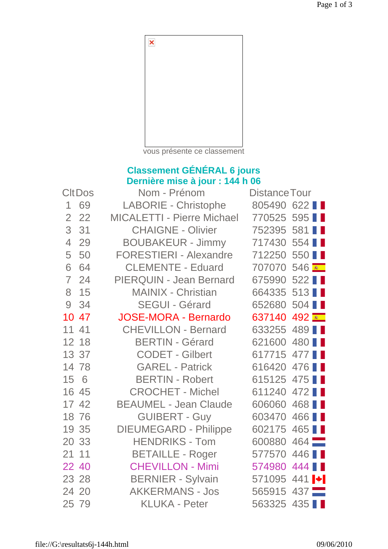

vous présente ce classement

## **Classement GÉNÉRAL 6 jours Dernière mise à jour : 144 h 06**

| <b>CltDos</b>  |       | Nom - Prénom                      | <b>Distance Tour</b> |                  |
|----------------|-------|-----------------------------------|----------------------|------------------|
| 1              | 69    | LABORIE - Christophe              | 805490 622           |                  |
| $\overline{2}$ | 22    | <b>MICALETTI - Pierre Michael</b> | 770525 595           |                  |
| 3              | 31    | <b>CHAIGNE - Olivier</b>          | 752395               | 581              |
| $\overline{4}$ | 29    | <b>BOUBAKEUR - Jimmy</b>          | 717430 554           |                  |
| 5              | 50    | <b>FORESTIERI - Alexandre</b>     | 712250 550           |                  |
| 6              | 64    | <b>CLEMENTE - Eduard</b>          | 707070 546           |                  |
| $\overline{7}$ | 24    | PIERQUIN - Jean Bernard           | 675990 522           |                  |
| 8              | 15    | <b>MAINIX - Christian</b>         | 664335 513           |                  |
| 9              | 34    | <b>SEGUI - Gérard</b>             | 652680 504           |                  |
|                | 10 47 | <b>JOSE-MORA - Bernardo</b>       | 637140               | 492 <del>.</del> |
| 11 41          |       | <b>CHEVILLON - Bernard</b>        | 633255 489           |                  |
|                | 12 18 | <b>BERTIN - Gérard</b>            | 621600               | 480 ■            |
|                | 13 37 | <b>CODET - Gilbert</b>            | 617715 477           |                  |
|                | 14 78 | <b>GAREL - Patrick</b>            | 616420 476           |                  |
| 15 6           |       | <b>BERTIN - Robert</b>            | 615125 475           |                  |
|                | 16 45 | <b>CROCHET - Michel</b>           | 611240 472           |                  |
|                | 17 42 | <b>BEAUMEL - Jean Claude</b>      | 606060 468           |                  |
|                | 18 76 | <b>GUIBERT - Guy</b>              | 603470               | 466              |
|                | 19 35 | <b>DIEUMEGARD - Philippe</b>      | 602175               | 465              |
|                | 20 33 | <b>HENDRIKS - Tom</b>             | 600880               | $464$ $-$        |
| 21 11          |       | <b>BETAILLE - Roger</b>           | 577570               | 446              |
|                | 22 40 | <b>CHEVILLON - Mimi</b>           | 574980 444           |                  |
|                | 23 28 | <b>BERNIER - Sylvain</b>          | 571095 441           |                  |
|                | 24 20 | <b>AKKERMANS - Jos</b>            | 565915 437           |                  |
| 25 79          |       | <b>KLUKA - Peter</b>              | 563325 435           |                  |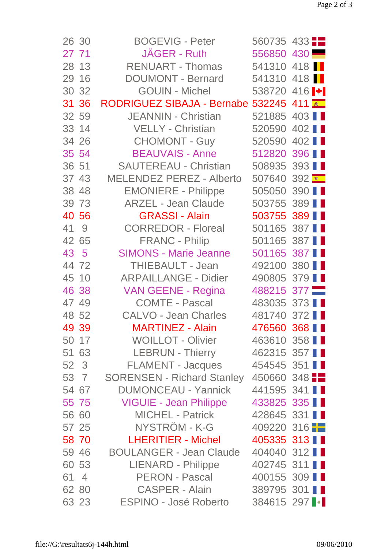| 26 30                | <b>BOGEVIG - Peter</b>                  | 560735 433                       |               |  |
|----------------------|-----------------------------------------|----------------------------------|---------------|--|
| 27 71                | JAGER - Ruth                            | 556850 430                       |               |  |
| 28 13                | <b>RENUART - Thomas</b>                 | 541310 418                       |               |  |
| 29 16                | <b>DOUMONT - Bernard</b>                | 541310 418                       |               |  |
| 30 32                | <b>GOUIN - Michel</b>                   | 538720 416 $\blacktriangleright$ |               |  |
| 31 36                | RODRIGUEZ SIBAJA - Bernabe 532245 411 ₹ |                                  |               |  |
| 32 59                | <b>JEANNIN - Christian</b>              | 521885 403                       |               |  |
| 33 14                | VELLY - Christian                       | 520590                           | 402           |  |
| 34 26                | <b>CHOMONT - Guy</b>                    | 520590                           | 402           |  |
| 35 54                | <b>BEAUVAIS - Anne</b>                  | 512820                           | 396 <b>II</b> |  |
| 36 51                | <b>SAUTEREAU - Christian</b>            | 508935 393                       |               |  |
| 37 43                | <b>MELENDEZ PEREZ - Alberto</b>         | 507640 392                       |               |  |
| 38 48                | <b>EMONIERE - Philippe</b>              | 505050 390                       |               |  |
| 39 73                | <b>ARZEL - Jean Claude</b>              | 503755 389                       |               |  |
| 40 56                | <b>GRASSI - Alain</b>                   | 503755 389                       |               |  |
| 41 9                 | <b>CORREDOR - Floreal</b>               | 501165 387                       |               |  |
| 42 65                | <b>FRANC - Philip</b>                   | 501165 387                       |               |  |
| 43 5                 | <b>SIMONS - Marie Jeanne</b>            | 501165 387                       |               |  |
| 44 72                | <b>THIEBAULT - Jean</b>                 | 492100 380                       |               |  |
| 45 10                | <b>ARPAILLANGE - Didier</b>             | 490805 379 ■                     |               |  |
| 46 38                | <b>VAN GEENE - Regina</b>               | 488215 377                       |               |  |
| 47 49                | <b>COMTE - Pascal</b>                   | 483035 373 1                     |               |  |
| 48 52                | <b>CALVO - Jean Charles</b>             | 481740 372                       |               |  |
| 49 39                | <b>MARTINEZ - Alain</b>                 | 476560 368 11                    |               |  |
| 50 17                | <b>WOILLOT - Olivier</b>                | 463610 358                       |               |  |
| 51 63                | <b>LEBRUN - Thierry</b>                 | 462315 357                       |               |  |
| 52 3                 | <b>FLAMENT - Jacques</b>                | 454545 351                       |               |  |
| 53 7                 | <b>SORENSEN - Richard Stanley</b>       | $450660$ 348                     |               |  |
| 54 67                | <b>DUMONCEAU - Yannick</b>              | 441595 341                       |               |  |
| 55 75                | <b>VIGUIE - Jean Philippe</b>           | 433825 335                       |               |  |
| 56 60                | MICHEL - Patrick                        | 428645 331                       |               |  |
| 57 25                | NYSTRÖM - K-G                           | 409220 316                       |               |  |
| 58 70                | <b>LHERITIER - Michel</b>               | 405335 313 ∎ ∎                   |               |  |
| 59 46                | <b>BOULANGER - Jean Claude</b>          | 404040 312                       |               |  |
| 60 53                | <b>LIENARD - Philippe</b>               | 402745 311                       |               |  |
| 61<br>$\overline{4}$ | PERON - Pascal                          | 400155 309                       |               |  |
| 62 80                | <b>CASPER - Alain</b>                   | 389795 301                       |               |  |
| 63 23                | <b>ESPINO - José Roberto</b>            | 384615 297                       |               |  |